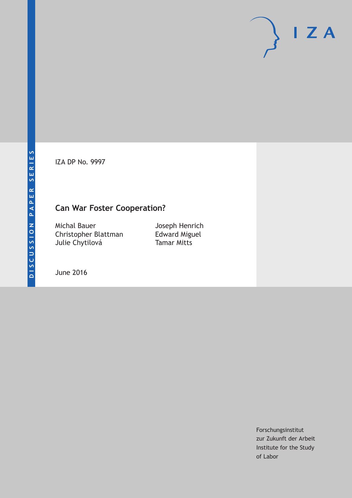IZA DP No. 9997

## **Can War Foster Cooperation?**

Michal Bauer Christopher Blattman Julie Chytilová

Joseph Henrich Edward Miguel Tamar Mitts

June 2016

Forschungsinstitut zur Zukunft der Arbeit Institute for the Study of Labor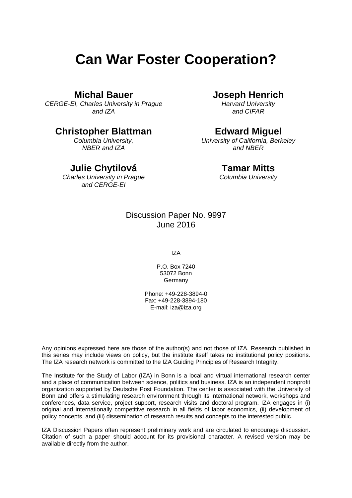# **Can War Foster Cooperation?**

### **Michal Bauer**

*CERGE-EI, Charles University in Prague and IZA* 

## **Christopher Blattman**

*Columbia University, NBER and IZA* 

## **Julie Chytilová**

*Charles University in Prague and CERGE-EI*

## **Joseph Henrich**

*Harvard University and CIFAR* 

## **Edward Miguel**

*University of California, Berkeley and NBER* 

#### **Tamar Mitts**

*Columbia University* 

## Discussion Paper No. 9997 June 2016

IZA

P.O. Box 7240 53072 Bonn Germany

Phone: +49-228-3894-0 Fax: +49-228-3894-180 E-mail: iza@iza.org

Any opinions expressed here are those of the author(s) and not those of IZA. Research published in this series may include views on policy, but the institute itself takes no institutional policy positions. The IZA research network is committed to the IZA Guiding Principles of Research Integrity.

The Institute for the Study of Labor (IZA) in Bonn is a local and virtual international research center and a place of communication between science, politics and business. IZA is an independent nonprofit organization supported by Deutsche Post Foundation. The center is associated with the University of Bonn and offers a stimulating research environment through its international network, workshops and conferences, data service, project support, research visits and doctoral program. IZA engages in (i) original and internationally competitive research in all fields of labor economics, (ii) development of policy concepts, and (iii) dissemination of research results and concepts to the interested public.

IZA Discussion Papers often represent preliminary work and are circulated to encourage discussion. Citation of such a paper should account for its provisional character. A revised version may be available directly from the author.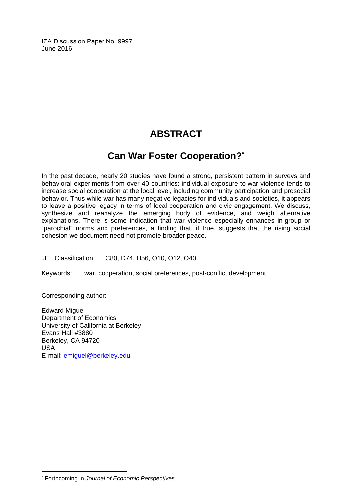IZA Discussion Paper No. 9997 June 2016

## **ABSTRACT**

## **Can War Foster Cooperation?\***

In the past decade, nearly 20 studies have found a strong, persistent pattern in surveys and behavioral experiments from over 40 countries: individual exposure to war violence tends to increase social cooperation at the local level, including community participation and prosocial behavior. Thus while war has many negative legacies for individuals and societies, it appears to leave a positive legacy in terms of local cooperation and civic engagement. We discuss, synthesize and reanalyze the emerging body of evidence, and weigh alternative explanations. There is some indication that war violence especially enhances in-group or "parochial" norms and preferences, a finding that, if true, suggests that the rising social cohesion we document need not promote broader peace.

JEL Classification: C80, D74, H56, O10, O12, O40

Keywords: war, cooperation, social preferences, post-conflict development

Corresponding author:

 $\overline{\phantom{a}}$ 

Edward Miguel Department of Economics University of California at Berkeley Evans Hall #3880 Berkeley, CA 94720 USA E-mail: emiguel@berkeley.edu

<sup>\*</sup> Forthcoming in *Journal of Economic Perspectives*.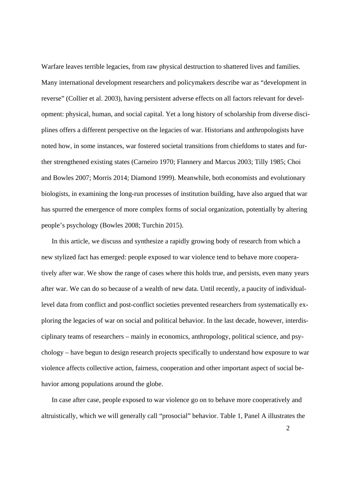Warfare leaves terrible legacies, from raw physical destruction to shattered lives and families. Many international development researchers and policymakers describe war as "development in reverse" (Collier et al. 2003), having persistent adverse effects on all factors relevant for development: physical, human, and social capital. Yet a long history of scholarship from diverse disciplines offers a different perspective on the legacies of war. Historians and anthropologists have noted how, in some instances, war fostered societal transitions from chiefdoms to states and further strengthened existing states (Carneiro 1970; Flannery and Marcus 2003; Tilly 1985; Choi and Bowles 2007; Morris 2014; Diamond 1999). Meanwhile, both economists and evolutionary biologists, in examining the long-run processes of institution building, have also argued that war has spurred the emergence of more complex forms of social organization, potentially by altering people's psychology (Bowles 2008; Turchin 2015).

In this article, we discuss and synthesize a rapidly growing body of research from which a new stylized fact has emerged: people exposed to war violence tend to behave more cooperatively after war. We show the range of cases where this holds true, and persists, even many years after war. We can do so because of a wealth of new data. Until recently, a paucity of individuallevel data from conflict and post-conflict societies prevented researchers from systematically exploring the legacies of war on social and political behavior. In the last decade, however, interdisciplinary teams of researchers – mainly in economics, anthropology, political science, and psychology – have begun to design research projects specifically to understand how exposure to war violence affects collective action, fairness, cooperation and other important aspect of social behavior among populations around the globe.

In case after case, people exposed to war violence go on to behave more cooperatively and altruistically, which we will generally call "prosocial" behavior. Table 1, Panel A illustrates the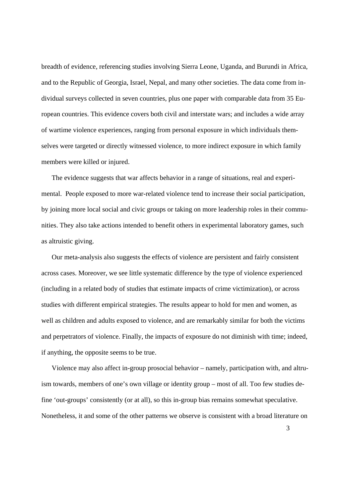breadth of evidence, referencing studies involving Sierra Leone, Uganda, and Burundi in Africa, and to the Republic of Georgia, Israel, Nepal, and many other societies. The data come from individual surveys collected in seven countries, plus one paper with comparable data from 35 European countries. This evidence covers both civil and interstate wars; and includes a wide array of wartime violence experiences, ranging from personal exposure in which individuals themselves were targeted or directly witnessed violence, to more indirect exposure in which family members were killed or injured.

The evidence suggests that war affects behavior in a range of situations, real and experimental. People exposed to more war-related violence tend to increase their social participation, by joining more local social and civic groups or taking on more leadership roles in their communities. They also take actions intended to benefit others in experimental laboratory games, such as altruistic giving.

Our meta-analysis also suggests the effects of violence are persistent and fairly consistent across cases. Moreover, we see little systematic difference by the type of violence experienced (including in a related body of studies that estimate impacts of crime victimization), or across studies with different empirical strategies. The results appear to hold for men and women, as well as children and adults exposed to violence, and are remarkably similar for both the victims and perpetrators of violence. Finally, the impacts of exposure do not diminish with time; indeed, if anything, the opposite seems to be true.

Violence may also affect in-group prosocial behavior – namely, participation with, and altruism towards, members of one's own village or identity group – most of all. Too few studies define 'out-groups' consistently (or at all), so this in-group bias remains somewhat speculative. Nonetheless, it and some of the other patterns we observe is consistent with a broad literature on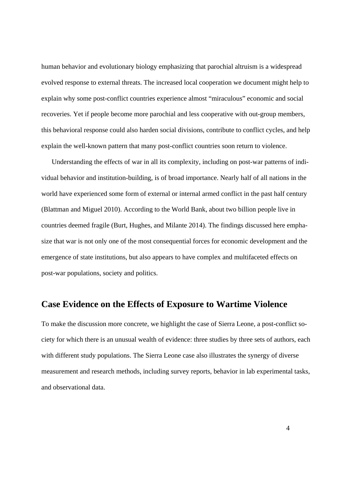human behavior and evolutionary biology emphasizing that parochial altruism is a widespread evolved response to external threats. The increased local cooperation we document might help to explain why some post-conflict countries experience almost "miraculous" economic and social recoveries. Yet if people become more parochial and less cooperative with out-group members, this behavioral response could also harden social divisions, contribute to conflict cycles, and help explain the well-known pattern that many post-conflict countries soon return to violence.

Understanding the effects of war in all its complexity, including on post-war patterns of individual behavior and institution-building, is of broad importance. Nearly half of all nations in the world have experienced some form of external or internal armed conflict in the past half century (Blattman and Miguel 2010). According to the World Bank, about two billion people live in countries deemed fragile (Burt, Hughes, and Milante 2014). The findings discussed here emphasize that war is not only one of the most consequential forces for economic development and the emergence of state institutions, but also appears to have complex and multifaceted effects on post-war populations, society and politics.

#### **Case Evidence on the Effects of Exposure to Wartime Violence**

To make the discussion more concrete, we highlight the case of Sierra Leone, a post-conflict society for which there is an unusual wealth of evidence: three studies by three sets of authors, each with different study populations. The Sierra Leone case also illustrates the synergy of diverse measurement and research methods, including survey reports, behavior in lab experimental tasks, and observational data.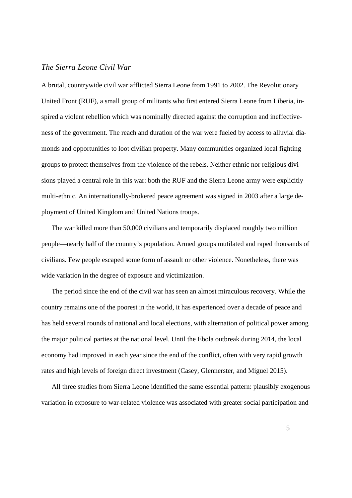#### *The Sierra Leone Civil War*

A brutal, countrywide civil war afflicted Sierra Leone from 1991 to 2002. The Revolutionary United Front (RUF), a small group of militants who first entered Sierra Leone from Liberia, inspired a violent rebellion which was nominally directed against the corruption and ineffectiveness of the government. The reach and duration of the war were fueled by access to alluvial diamonds and opportunities to loot civilian property. Many communities organized local fighting groups to protect themselves from the violence of the rebels. Neither ethnic nor religious divisions played a central role in this war: both the RUF and the Sierra Leone army were explicitly multi-ethnic. An internationally-brokered peace agreement was signed in 2003 after a large deployment of United Kingdom and United Nations troops.

The war killed more than 50,000 civilians and temporarily displaced roughly two million people—nearly half of the country's population. Armed groups mutilated and raped thousands of civilians. Few people escaped some form of assault or other violence. Nonetheless, there was wide variation in the degree of exposure and victimization.

The period since the end of the civil war has seen an almost miraculous recovery. While the country remains one of the poorest in the world, it has experienced over a decade of peace and has held several rounds of national and local elections, with alternation of political power among the major political parties at the national level. Until the Ebola outbreak during 2014, the local economy had improved in each year since the end of the conflict, often with very rapid growth rates and high levels of foreign direct investment (Casey, Glennerster, and Miguel 2015).

All three studies from Sierra Leone identified the same essential pattern: plausibly exogenous variation in exposure to war-related violence was associated with greater social participation and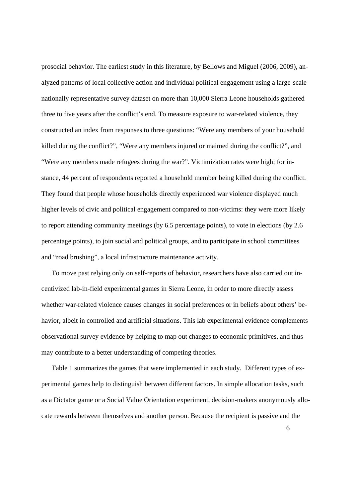prosocial behavior. The earliest study in this literature, by Bellows and Miguel (2006, 2009), analyzed patterns of local collective action and individual political engagement using a large-scale nationally representative survey dataset on more than 10,000 Sierra Leone households gathered three to five years after the conflict's end. To measure exposure to war-related violence, they constructed an index from responses to three questions: "Were any members of your household killed during the conflict?", "Were any members injured or maimed during the conflict?", and "Were any members made refugees during the war?". Victimization rates were high; for instance, 44 percent of respondents reported a household member being killed during the conflict. They found that people whose households directly experienced war violence displayed much higher levels of civic and political engagement compared to non-victims: they were more likely to report attending community meetings (by 6.5 percentage points), to vote in elections (by 2.6 percentage points), to join social and political groups, and to participate in school committees and "road brushing", a local infrastructure maintenance activity.

To move past relying only on self-reports of behavior, researchers have also carried out incentivized lab-in-field experimental games in Sierra Leone, in order to more directly assess whether war-related violence causes changes in social preferences or in beliefs about others' behavior, albeit in controlled and artificial situations. This lab experimental evidence complements observational survey evidence by helping to map out changes to economic primitives, and thus may contribute to a better understanding of competing theories.

Table 1 summarizes the games that were implemented in each study. Different types of experimental games help to distinguish between different factors. In simple allocation tasks, such as a Dictator game or a Social Value Orientation experiment, decision-makers anonymously allocate rewards between themselves and another person. Because the recipient is passive and the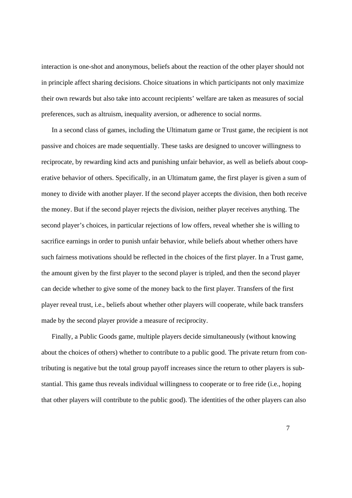interaction is one-shot and anonymous, beliefs about the reaction of the other player should not in principle affect sharing decisions. Choice situations in which participants not only maximize their own rewards but also take into account recipients' welfare are taken as measures of social preferences, such as altruism, inequality aversion, or adherence to social norms.

In a second class of games, including the Ultimatum game or Trust game, the recipient is not passive and choices are made sequentially. These tasks are designed to uncover willingness to reciprocate, by rewarding kind acts and punishing unfair behavior, as well as beliefs about cooperative behavior of others. Specifically, in an Ultimatum game, the first player is given a sum of money to divide with another player. If the second player accepts the division, then both receive the money. But if the second player rejects the division, neither player receives anything. The second player's choices, in particular rejections of low offers, reveal whether she is willing to sacrifice earnings in order to punish unfair behavior, while beliefs about whether others have such fairness motivations should be reflected in the choices of the first player. In a Trust game, the amount given by the first player to the second player is tripled, and then the second player can decide whether to give some of the money back to the first player. Transfers of the first player reveal trust, i.e., beliefs about whether other players will cooperate, while back transfers made by the second player provide a measure of reciprocity.

Finally, a Public Goods game, multiple players decide simultaneously (without knowing about the choices of others) whether to contribute to a public good. The private return from contributing is negative but the total group payoff increases since the return to other players is substantial. This game thus reveals individual willingness to cooperate or to free ride (i.e., hoping that other players will contribute to the public good). The identities of the other players can also

7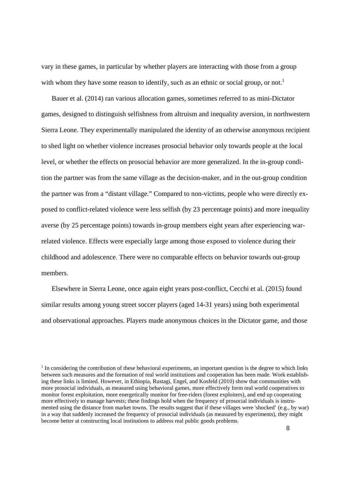vary in these games, in particular by whether players are interacting with those from a group with whom they have some reason to identify, such as an ethnic or social group, or not.<sup>1</sup>

Bauer et al. (2014) ran various allocation games, sometimes referred to as mini-Dictator games, designed to distinguish selfishness from altruism and inequality aversion, in northwestern Sierra Leone. They experimentally manipulated the identity of an otherwise anonymous recipient to shed light on whether violence increases prosocial behavior only towards people at the local level, or whether the effects on prosocial behavior are more generalized. In the in-group condition the partner was from the same village as the decision-maker, and in the out-group condition the partner was from a "distant village." Compared to non-victims, people who were directly exposed to conflict-related violence were less selfish (by 23 percentage points) and more inequality averse (by 25 percentage points) towards in-group members eight years after experiencing warrelated violence. Effects were especially large among those exposed to violence during their childhood and adolescence. There were no comparable effects on behavior towards out-group members.

Elsewhere in Sierra Leone, once again eight years post-conflict, Cecchi et al. (2015) found similar results among young street soccer players (aged 14-31 years) using both experimental and observational approaches. Players made anonymous choices in the Dictator game, and those

<sup>&</sup>lt;sup>1</sup> In considering the contribution of these behavioral experiments, an important question is the degree to which links between such measures and the formation of real world institutions and cooperation has been made. Work establishing these links is limited. However, in Ethiopia, Rustagi, Engel, and Kosfeld (2010) show that communities with more prosocial individuals, as measured using behavioral games, more effectively form real world cooperatives to monitor forest exploitation, more energetically monitor for free-riders (forest exploiters), and end up cooperating more effectively to manage harvests; these findings hold when the frequency of prosocial individuals is instrumented using the distance from market towns. The results suggest that if these villages were 'shocked' (e.g., by war) in a way that suddenly increased the frequency of prosocial individuals (as measured by experiments), they might become better at constructing local institutions to address real public goods problems.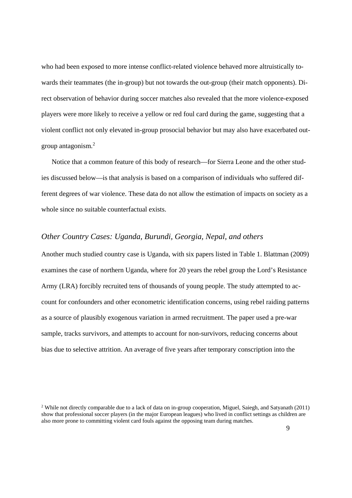who had been exposed to more intense conflict-related violence behaved more altruistically towards their teammates (the in-group) but not towards the out-group (their match opponents). Direct observation of behavior during soccer matches also revealed that the more violence-exposed players were more likely to receive a yellow or red foul card during the game, suggesting that a violent conflict not only elevated in-group prosocial behavior but may also have exacerbated outgroup antagonism.<sup>2</sup>

Notice that a common feature of this body of research—for Sierra Leone and the other studies discussed below—is that analysis is based on a comparison of individuals who suffered different degrees of war violence. These data do not allow the estimation of impacts on society as a whole since no suitable counterfactual exists.

#### *Other Country Cases: Uganda, Burundi, Georgia, Nepal, and others*

Another much studied country case is Uganda, with six papers listed in Table 1. Blattman (2009) examines the case of northern Uganda, where for 20 years the rebel group the Lord's Resistance Army (LRA) forcibly recruited tens of thousands of young people. The study attempted to account for confounders and other econometric identification concerns, using rebel raiding patterns as a source of plausibly exogenous variation in armed recruitment. The paper used a pre-war sample, tracks survivors, and attempts to account for non-survivors, reducing concerns about bias due to selective attrition. An average of five years after temporary conscription into the

<sup>&</sup>lt;sup>2</sup> While not directly comparable due to a lack of data on in-group cooperation, Miguel, Saiegh, and Satyanath  $(2011)$ show that professional soccer players (in the major European leagues) who lived in conflict settings as children are also more prone to committing violent card fouls against the opposing team during matches.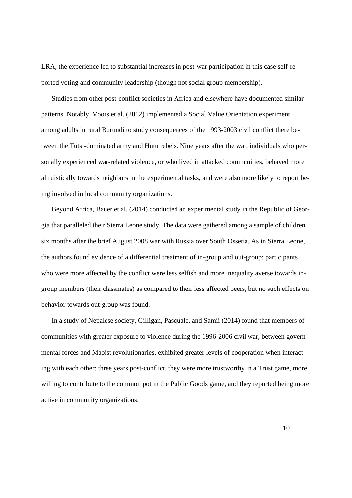LRA, the experience led to substantial increases in post-war participation in this case self-reported voting and community leadership (though not social group membership).

Studies from other post-conflict societies in Africa and elsewhere have documented similar patterns. Notably, Voors et al. (2012) implemented a Social Value Orientation experiment among adults in rural Burundi to study consequences of the 1993-2003 civil conflict there between the Tutsi-dominated army and Hutu rebels. Nine years after the war, individuals who personally experienced war-related violence, or who lived in attacked communities, behaved more altruistically towards neighbors in the experimental tasks, and were also more likely to report being involved in local community organizations.

Beyond Africa, Bauer et al. (2014) conducted an experimental study in the Republic of Georgia that paralleled their Sierra Leone study. The data were gathered among a sample of children six months after the brief August 2008 war with Russia over South Ossetia. As in Sierra Leone, the authors found evidence of a differential treatment of in-group and out-group: participants who were more affected by the conflict were less selfish and more inequality averse towards ingroup members (their classmates) as compared to their less affected peers, but no such effects on behavior towards out-group was found.

In a study of Nepalese society, Gilligan, Pasquale, and Samii (2014) found that members of communities with greater exposure to violence during the 1996-2006 civil war, between governmental forces and Maoist revolutionaries, exhibited greater levels of cooperation when interacting with each other: three years post-conflict, they were more trustworthy in a Trust game, more willing to contribute to the common pot in the Public Goods game, and they reported being more active in community organizations.

10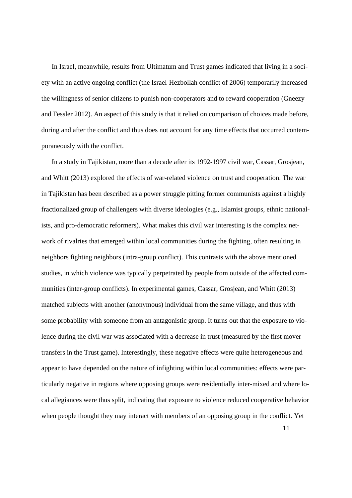In Israel, meanwhile, results from Ultimatum and Trust games indicated that living in a society with an active ongoing conflict (the Israel-Hezbollah conflict of 2006) temporarily increased the willingness of senior citizens to punish non-cooperators and to reward cooperation (Gneezy and Fessler 2012). An aspect of this study is that it relied on comparison of choices made before, during and after the conflict and thus does not account for any time effects that occurred contemporaneously with the conflict.

In a study in Tajikistan, more than a decade after its 1992-1997 civil war, Cassar, Grosjean, and Whitt (2013) explored the effects of war-related violence on trust and cooperation. The war in Tajikistan has been described as a power struggle pitting former communists against a highly fractionalized group of challengers with diverse ideologies (e.g., Islamist groups, ethnic nationalists, and pro-democratic reformers). What makes this civil war interesting is the complex network of rivalries that emerged within local communities during the fighting, often resulting in neighbors fighting neighbors (intra-group conflict). This contrasts with the above mentioned studies, in which violence was typically perpetrated by people from outside of the affected communities (inter-group conflicts). In experimental games, Cassar, Grosjean, and Whitt (2013) matched subjects with another (anonymous) individual from the same village, and thus with some probability with someone from an antagonistic group. It turns out that the exposure to violence during the civil war was associated with a decrease in trust (measured by the first mover transfers in the Trust game). Interestingly, these negative effects were quite heterogeneous and appear to have depended on the nature of infighting within local communities: effects were particularly negative in regions where opposing groups were residentially inter-mixed and where local allegiances were thus split, indicating that exposure to violence reduced cooperative behavior when people thought they may interact with members of an opposing group in the conflict. Yet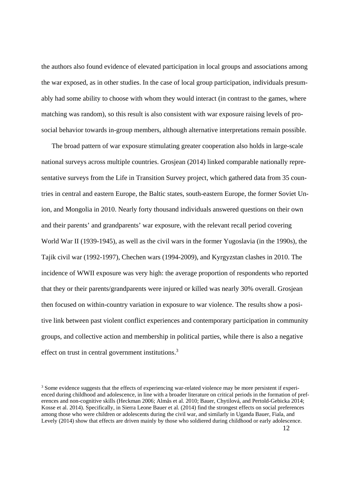the authors also found evidence of elevated participation in local groups and associations among the war exposed, as in other studies. In the case of local group participation, individuals presumably had some ability to choose with whom they would interact (in contrast to the games, where matching was random), so this result is also consistent with war exposure raising levels of prosocial behavior towards in-group members, although alternative interpretations remain possible.

The broad pattern of war exposure stimulating greater cooperation also holds in large-scale national surveys across multiple countries. Grosjean (2014) linked comparable nationally representative surveys from the Life in Transition Survey project, which gathered data from 35 countries in central and eastern Europe, the Baltic states, south-eastern Europe, the former Soviet Union, and Mongolia in 2010. Nearly forty thousand individuals answered questions on their own and their parents' and grandparents' war exposure, with the relevant recall period covering World War II (1939-1945), as well as the civil wars in the former Yugoslavia (in the 1990s), the Tajik civil war (1992-1997), Chechen wars (1994-2009), and Kyrgyzstan clashes in 2010. The incidence of WWII exposure was very high: the average proportion of respondents who reported that they or their parents/grandparents were injured or killed was nearly 30% overall. Grosjean then focused on within-country variation in exposure to war violence. The results show a positive link between past violent conflict experiences and contemporary participation in community groups, and collective action and membership in political parties, while there is also a negative effect on trust in central government institutions.<sup>3</sup>

 <sup>12</sup>  <sup>3</sup> Some evidence suggests that the effects of experiencing war-related violence may be more persistent if experienced during childhood and adolescence, in line with a broader literature on critical periods in the formation of preferences and non-cognitive skills (Heckman 2006; Almås et al. 2010; Bauer, Chytilová, and Pertold-Gebicka 2014; Kosse et al. 2014). Specifically, in Sierra Leone Bauer et al. (2014) find the strongest effects on social preferences among those who were children or adolescents during the civil war, and similarly in Uganda Bauer, Fiala, and Levely (2014) show that effects are driven mainly by those who soldiered during childhood or early adolescence.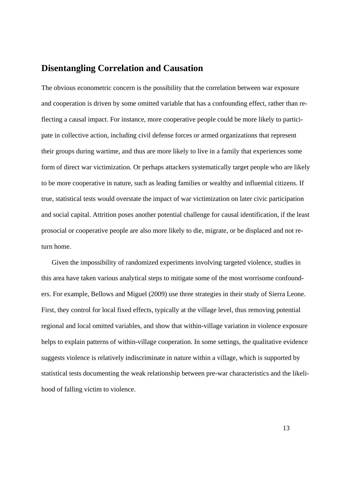## **Disentangling Correlation and Causation**

The obvious econometric concern is the possibility that the correlation between war exposure and cooperation is driven by some omitted variable that has a confounding effect, rather than reflecting a causal impact. For instance, more cooperative people could be more likely to participate in collective action, including civil defense forces or armed organizations that represent their groups during wartime, and thus are more likely to live in a family that experiences some form of direct war victimization. Or perhaps attackers systematically target people who are likely to be more cooperative in nature, such as leading families or wealthy and influential citizens. If true, statistical tests would overstate the impact of war victimization on later civic participation and social capital. Attrition poses another potential challenge for causal identification, if the least prosocial or cooperative people are also more likely to die, migrate, or be displaced and not return home.

Given the impossibility of randomized experiments involving targeted violence, studies in this area have taken various analytical steps to mitigate some of the most worrisome confounders. For example, Bellows and Miguel (2009) use three strategies in their study of Sierra Leone. First, they control for local fixed effects, typically at the village level, thus removing potential regional and local omitted variables, and show that within-village variation in violence exposure helps to explain patterns of within-village cooperation. In some settings, the qualitative evidence suggests violence is relatively indiscriminate in nature within a village, which is supported by statistical tests documenting the weak relationship between pre-war characteristics and the likelihood of falling victim to violence.

13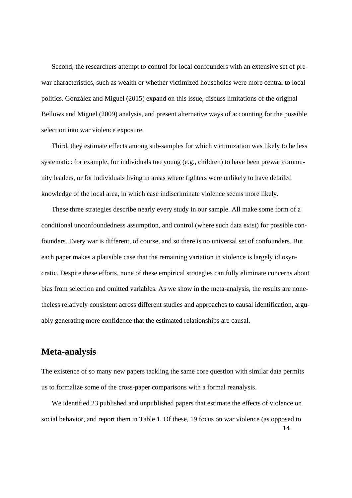Second, the researchers attempt to control for local confounders with an extensive set of prewar characteristics, such as wealth or whether victimized households were more central to local politics. González and Miguel (2015) expand on this issue, discuss limitations of the original Bellows and Miguel (2009) analysis, and present alternative ways of accounting for the possible selection into war violence exposure.

Third, they estimate effects among sub-samples for which victimization was likely to be less systematic: for example, for individuals too young (e.g., children) to have been prewar community leaders, or for individuals living in areas where fighters were unlikely to have detailed knowledge of the local area, in which case indiscriminate violence seems more likely.

These three strategies describe nearly every study in our sample. All make some form of a conditional unconfoundedness assumption, and control (where such data exist) for possible confounders. Every war is different, of course, and so there is no universal set of confounders. But each paper makes a plausible case that the remaining variation in violence is largely idiosyncratic. Despite these efforts, none of these empirical strategies can fully eliminate concerns about bias from selection and omitted variables. As we show in the meta-analysis, the results are nonetheless relatively consistent across different studies and approaches to causal identification, arguably generating more confidence that the estimated relationships are causal.

## **Meta-analysis**

The existence of so many new papers tackling the same core question with similar data permits us to formalize some of the cross-paper comparisons with a formal reanalysis.

 14 We identified 23 published and unpublished papers that estimate the effects of violence on social behavior, and report them in Table 1. Of these, 19 focus on war violence (as opposed to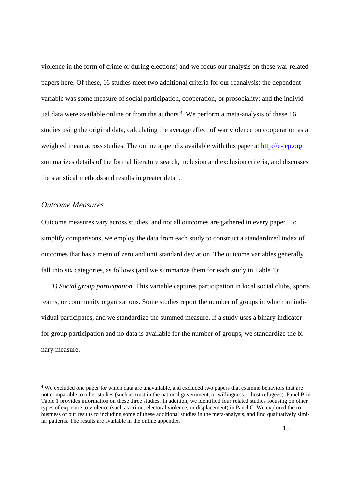violence in the form of crime or during elections) and we focus our analysis on these war-related papers here. Of these, 16 studies meet two additional criteria for our reanalysis: the dependent variable was some measure of social participation, cooperation, or prosociality; and the individual data were available online or from the authors.<sup>4</sup> We perform a meta-analysis of these 16 studies using the original data, calculating the average effect of war violence on cooperation as a weighted mean across studies. The online appendix available with this paper at http://e-jep.org summarizes details of the formal literature search, inclusion and exclusion criteria, and discusses the statistical methods and results in greater detail.

#### *Outcome Measures*

Outcome measures vary across studies, and not all outcomes are gathered in every paper. To simplify comparisons, we employ the data from each study to construct a standardized index of outcomes that has a mean of zero and unit standard deviation. The outcome variables generally fall into six categories, as follows (and we summarize them for each study in Table 1):

*1) Social group participation.* This variable captures participation in local social clubs, sports teams, or community organizations. Some studies report the number of groups in which an individual participates, and we standardize the summed measure. If a study uses a binary indicator for group participation and no data is available for the number of groups, we standardize the binary measure.

<sup>&</sup>lt;sup>4</sup> We excluded one paper for which data are unavailable, and excluded two papers that examine behaviors that are not comparable to other studies (such as trust in the national government, or willingness to host refugees). Panel B in Table 1 provides information on these three studies. In addition, we identified four related studies focusing on other types of exposure to violence (such as crime, electoral violence, or displacement) in Panel C. We explored the robustness of our results to including some of these additional studies in the meta-analysis, and find qualitatively similar patterns. The results are available in the online appendix.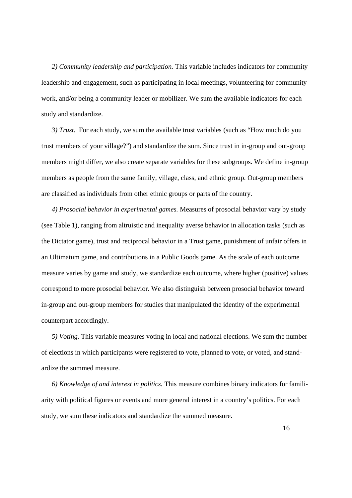*2) Community leadership and participation.* This variable includes indicators for community leadership and engagement, such as participating in local meetings, volunteering for community work, and/or being a community leader or mobilizer. We sum the available indicators for each study and standardize.

*3) Trust.* For each study, we sum the available trust variables (such as "How much do you trust members of your village?") and standardize the sum. Since trust in in-group and out-group members might differ, we also create separate variables for these subgroups. We define in-group members as people from the same family, village, class, and ethnic group. Out-group members are classified as individuals from other ethnic groups or parts of the country.

*4) Prosocial behavior in experimental games.* Measures of prosocial behavior vary by study (see Table 1), ranging from altruistic and inequality averse behavior in allocation tasks (such as the Dictator game), trust and reciprocal behavior in a Trust game, punishment of unfair offers in an Ultimatum game, and contributions in a Public Goods game. As the scale of each outcome measure varies by game and study, we standardize each outcome, where higher (positive) values correspond to more prosocial behavior. We also distinguish between prosocial behavior toward in-group and out-group members for studies that manipulated the identity of the experimental counterpart accordingly.

*5) Voting.* This variable measures voting in local and national elections. We sum the number of elections in which participants were registered to vote, planned to vote, or voted, and standardize the summed measure.

*6) Knowledge of and interest in politics.* This measure combines binary indicators for familiarity with political figures or events and more general interest in a country's politics. For each study, we sum these indicators and standardize the summed measure.

16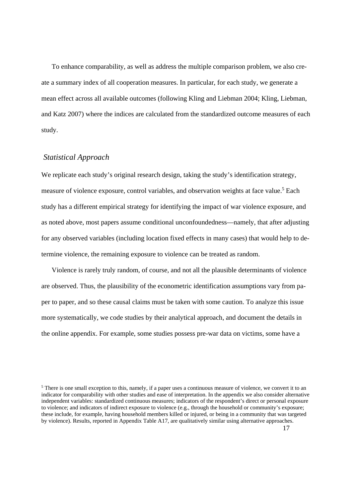To enhance comparability, as well as address the multiple comparison problem, we also create a summary index of all cooperation measures. In particular, for each study, we generate a mean effect across all available outcomes (following Kling and Liebman 2004; Kling, Liebman, and Katz 2007) where the indices are calculated from the standardized outcome measures of each study.

#### *Statistical Approach*

We replicate each study's original research design, taking the study's identification strategy, measure of violence exposure, control variables, and observation weights at face value.<sup>5</sup> Each study has a different empirical strategy for identifying the impact of war violence exposure, and as noted above, most papers assume conditional unconfoundedness—namely, that after adjusting for any observed variables (including location fixed effects in many cases) that would help to determine violence, the remaining exposure to violence can be treated as random.

Violence is rarely truly random, of course, and not all the plausible determinants of violence are observed. Thus, the plausibility of the econometric identification assumptions vary from paper to paper, and so these causal claims must be taken with some caution. To analyze this issue more systematically, we code studies by their analytical approach, and document the details in the online appendix. For example, some studies possess pre-war data on victims, some have a

 $<sup>5</sup>$  There is one small exception to this, namely, if a paper uses a continuous measure of violence, we convert it to an</sup> indicator for comparability with other studies and ease of interpretation. In the appendix we also consider alternative independent variables: standardized continuous measures; indicators of the respondent's direct or personal exposure to violence; and indicators of indirect exposure to violence (e.g., through the household or community's exposure; these include, for example, having household members killed or injured, or being in a community that was targeted by violence). Results, reported in Appendix Table A17, are qualitatively similar using alternative approaches.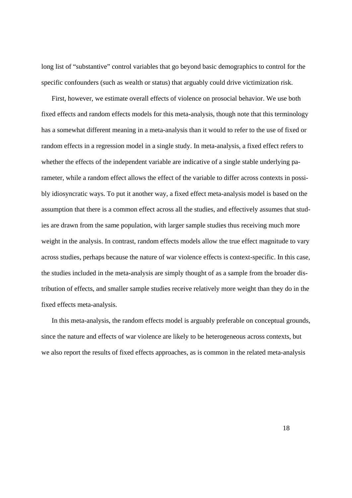long list of "substantive" control variables that go beyond basic demographics to control for the specific confounders (such as wealth or status) that arguably could drive victimization risk.

First, however, we estimate overall effects of violence on prosocial behavior. We use both fixed effects and random effects models for this meta-analysis, though note that this terminology has a somewhat different meaning in a meta-analysis than it would to refer to the use of fixed or random effects in a regression model in a single study. In meta-analysis, a fixed effect refers to whether the effects of the independent variable are indicative of a single stable underlying parameter, while a random effect allows the effect of the variable to differ across contexts in possibly idiosyncratic ways. To put it another way, a fixed effect meta-analysis model is based on the assumption that there is a common effect across all the studies, and effectively assumes that studies are drawn from the same population, with larger sample studies thus receiving much more weight in the analysis. In contrast, random effects models allow the true effect magnitude to vary across studies, perhaps because the nature of war violence effects is context-specific. In this case, the studies included in the meta-analysis are simply thought of as a sample from the broader distribution of effects, and smaller sample studies receive relatively more weight than they do in the fixed effects meta-analysis.

In this meta-analysis, the random effects model is arguably preferable on conceptual grounds, since the nature and effects of war violence are likely to be heterogeneous across contexts, but we also report the results of fixed effects approaches, as is common in the related meta-analysis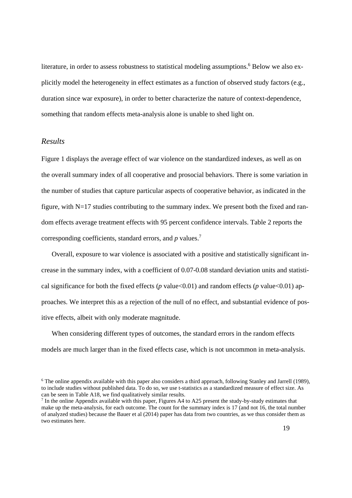literature, in order to assess robustness to statistical modeling assumptions.<sup>6</sup> Below we also explicitly model the heterogeneity in effect estimates as a function of observed study factors (e.g., duration since war exposure), in order to better characterize the nature of context-dependence, something that random effects meta-analysis alone is unable to shed light on.

#### *Results*

Figure 1 displays the average effect of war violence on the standardized indexes, as well as on the overall summary index of all cooperative and prosocial behaviors. There is some variation in the number of studies that capture particular aspects of cooperative behavior, as indicated in the figure, with N=17 studies contributing to the summary index. We present both the fixed and random effects average treatment effects with 95 percent confidence intervals. Table 2 reports the corresponding coefficients, standard errors, and *p* values.7

Overall, exposure to war violence is associated with a positive and statistically significant increase in the summary index, with a coefficient of 0.07-0.08 standard deviation units and statistical significance for both the fixed effects ( $p$  value < 0.01) and random effects ( $p$  value < 0.01) approaches. We interpret this as a rejection of the null of no effect, and substantial evidence of positive effects, albeit with only moderate magnitude.

When considering different types of outcomes, the standard errors in the random effects models are much larger than in the fixed effects case, which is not uncommon in meta-analysis.

<sup>&</sup>lt;sup>6</sup> The online appendix available with this paper also considers a third approach, following Stanley and Jarrell (1989), to include studies without published data. To do so, we use t-statistics as a standardized measure of effect size. As can be seen in Table A18, we find qualitatively similar results.

 $<sup>7</sup>$  In the online Appendix available with this paper, Figures A4 to A25 present the study-by-study estimates that</sup> make up the meta-analysis, for each outcome. The count for the summary index is 17 (and not 16, the total number of analyzed studies) because the Bauer et al (2014) paper has data from two countries, as we thus consider them as two estimates here.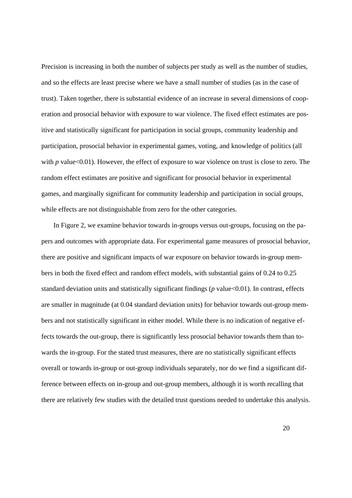Precision is increasing in both the number of subjects per study as well as the number of studies, and so the effects are least precise where we have a small number of studies (as in the case of trust). Taken together, there is substantial evidence of an increase in several dimensions of cooperation and prosocial behavior with exposure to war violence. The fixed effect estimates are positive and statistically significant for participation in social groups, community leadership and participation, prosocial behavior in experimental games, voting, and knowledge of politics (all with *p* value<0.01). However, the effect of exposure to war violence on trust is close to zero. The random effect estimates are positive and significant for prosocial behavior in experimental games, and marginally significant for community leadership and participation in social groups, while effects are not distinguishable from zero for the other categories.

 In Figure 2, we examine behavior towards in-groups versus out-groups, focusing on the papers and outcomes with appropriate data. For experimental game measures of prosocial behavior, there are positive and significant impacts of war exposure on behavior towards in-group members in both the fixed effect and random effect models, with substantial gains of 0.24 to 0.25 standard deviation units and statistically significant findings (*p* value<0.01). In contrast, effects are smaller in magnitude (at 0.04 standard deviation units) for behavior towards out-group members and not statistically significant in either model. While there is no indication of negative effects towards the out-group, there is significantly less prosocial behavior towards them than towards the in-group. For the stated trust measures, there are no statistically significant effects overall or towards in-group or out-group individuals separately, nor do we find a significant difference between effects on in-group and out-group members, although it is worth recalling that there are relatively few studies with the detailed trust questions needed to undertake this analysis.

20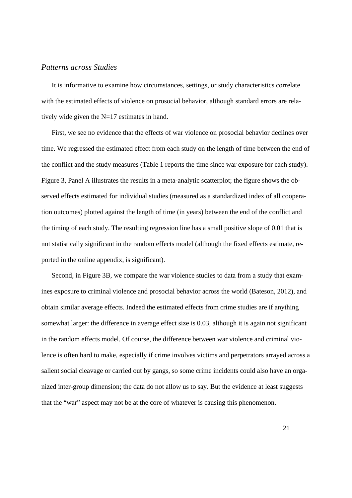#### *Patterns across Studies*

It is informative to examine how circumstances, settings, or study characteristics correlate with the estimated effects of violence on prosocial behavior, although standard errors are relatively wide given the N=17 estimates in hand.

First, we see no evidence that the effects of war violence on prosocial behavior declines over time. We regressed the estimated effect from each study on the length of time between the end of the conflict and the study measures (Table 1 reports the time since war exposure for each study). Figure 3, Panel A illustrates the results in a meta-analytic scatterplot; the figure shows the observed effects estimated for individual studies (measured as a standardized index of all cooperation outcomes) plotted against the length of time (in years) between the end of the conflict and the timing of each study. The resulting regression line has a small positive slope of 0.01 that is not statistically significant in the random effects model (although the fixed effects estimate, reported in the online appendix, is significant).

Second, in Figure 3B, we compare the war violence studies to data from a study that examines exposure to criminal violence and prosocial behavior across the world (Bateson, 2012), and obtain similar average effects. Indeed the estimated effects from crime studies are if anything somewhat larger: the difference in average effect size is 0.03, although it is again not significant in the random effects model. Of course, the difference between war violence and criminal violence is often hard to make, especially if crime involves victims and perpetrators arrayed across a salient social cleavage or carried out by gangs, so some crime incidents could also have an organized inter-group dimension; the data do not allow us to say. But the evidence at least suggests that the "war" aspect may not be at the core of whatever is causing this phenomenon.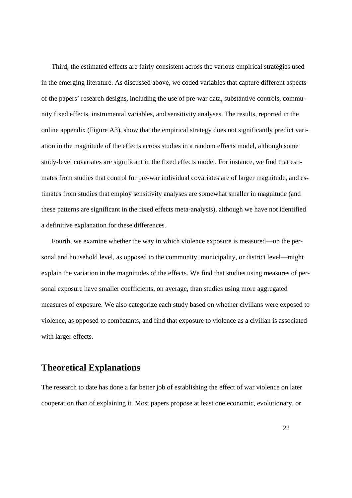Third, the estimated effects are fairly consistent across the various empirical strategies used in the emerging literature. As discussed above, we coded variables that capture different aspects of the papers' research designs, including the use of pre-war data, substantive controls, community fixed effects, instrumental variables, and sensitivity analyses. The results, reported in the online appendix (Figure A3), show that the empirical strategy does not significantly predict variation in the magnitude of the effects across studies in a random effects model, although some study-level covariates are significant in the fixed effects model. For instance, we find that estimates from studies that control for pre-war individual covariates are of larger magnitude, and estimates from studies that employ sensitivity analyses are somewhat smaller in magnitude (and these patterns are significant in the fixed effects meta-analysis), although we have not identified a definitive explanation for these differences.

Fourth, we examine whether the way in which violence exposure is measured—on the personal and household level, as opposed to the community, municipality, or district level—might explain the variation in the magnitudes of the effects. We find that studies using measures of personal exposure have smaller coefficients, on average, than studies using more aggregated measures of exposure. We also categorize each study based on whether civilians were exposed to violence, as opposed to combatants, and find that exposure to violence as a civilian is associated with larger effects.

## **Theoretical Explanations**

The research to date has done a far better job of establishing the effect of war violence on later cooperation than of explaining it. Most papers propose at least one economic, evolutionary, or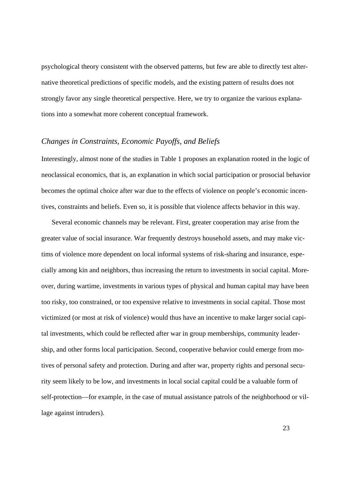psychological theory consistent with the observed patterns, but few are able to directly test alternative theoretical predictions of specific models, and the existing pattern of results does not strongly favor any single theoretical perspective. Here, we try to organize the various explanations into a somewhat more coherent conceptual framework.

#### *Changes in Constraints, Economic Payoffs, and Beliefs*

Interestingly, almost none of the studies in Table 1 proposes an explanation rooted in the logic of neoclassical economics, that is, an explanation in which social participation or prosocial behavior becomes the optimal choice after war due to the effects of violence on people's economic incentives, constraints and beliefs. Even so, it is possible that violence affects behavior in this way.

Several economic channels may be relevant. First, greater cooperation may arise from the greater value of social insurance. War frequently destroys household assets, and may make victims of violence more dependent on local informal systems of risk-sharing and insurance, especially among kin and neighbors, thus increasing the return to investments in social capital. Moreover, during wartime, investments in various types of physical and human capital may have been too risky, too constrained, or too expensive relative to investments in social capital. Those most victimized (or most at risk of violence) would thus have an incentive to make larger social capital investments, which could be reflected after war in group memberships, community leadership, and other forms local participation. Second, cooperative behavior could emerge from motives of personal safety and protection. During and after war, property rights and personal security seem likely to be low, and investments in local social capital could be a valuable form of self-protection—for example, in the case of mutual assistance patrols of the neighborhood or village against intruders).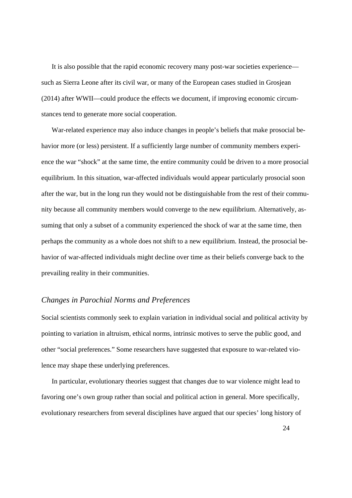It is also possible that the rapid economic recovery many post-war societies experience such as Sierra Leone after its civil war, or many of the European cases studied in Grosjean (2014) after WWII—could produce the effects we document, if improving economic circumstances tend to generate more social cooperation.

War-related experience may also induce changes in people's beliefs that make prosocial behavior more (or less) persistent. If a sufficiently large number of community members experience the war "shock" at the same time, the entire community could be driven to a more prosocial equilibrium. In this situation, war-affected individuals would appear particularly prosocial soon after the war, but in the long run they would not be distinguishable from the rest of their community because all community members would converge to the new equilibrium. Alternatively, assuming that only a subset of a community experienced the shock of war at the same time, then perhaps the community as a whole does not shift to a new equilibrium. Instead, the prosocial behavior of war-affected individuals might decline over time as their beliefs converge back to the prevailing reality in their communities.

#### *Changes in Parochial Norms and Preferences*

Social scientists commonly seek to explain variation in individual social and political activity by pointing to variation in altruism, ethical norms, intrinsic motives to serve the public good, and other "social preferences." Some researchers have suggested that exposure to war-related violence may shape these underlying preferences.

In particular, evolutionary theories suggest that changes due to war violence might lead to favoring one's own group rather than social and political action in general. More specifically, evolutionary researchers from several disciplines have argued that our species' long history of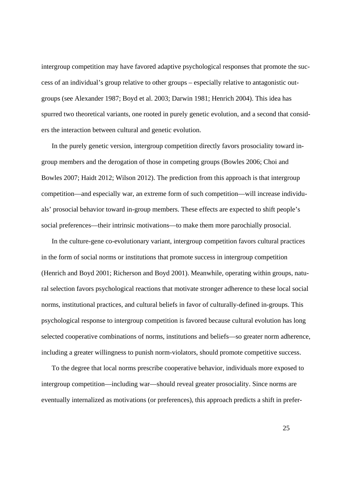intergroup competition may have favored adaptive psychological responses that promote the success of an individual's group relative to other groups – especially relative to antagonistic outgroups (see Alexander 1987; Boyd et al. 2003; Darwin 1981; Henrich 2004). This idea has spurred two theoretical variants, one rooted in purely genetic evolution, and a second that considers the interaction between cultural and genetic evolution.

In the purely genetic version, intergroup competition directly favors prosociality toward ingroup members and the derogation of those in competing groups (Bowles 2006; Choi and Bowles 2007; Haidt 2012; Wilson 2012). The prediction from this approach is that intergroup competition—and especially war, an extreme form of such competition—will increase individuals' prosocial behavior toward in-group members. These effects are expected to shift people's social preferences—their intrinsic motivations—to make them more parochially prosocial.

In the culture-gene co-evolutionary variant, intergroup competition favors cultural practices in the form of social norms or institutions that promote success in intergroup competition (Henrich and Boyd 2001; Richerson and Boyd 2001). Meanwhile, operating within groups, natural selection favors psychological reactions that motivate stronger adherence to these local social norms, institutional practices, and cultural beliefs in favor of culturally-defined in-groups. This psychological response to intergroup competition is favored because cultural evolution has long selected cooperative combinations of norms, institutions and beliefs—so greater norm adherence, including a greater willingness to punish norm-violators, should promote competitive success.

To the degree that local norms prescribe cooperative behavior, individuals more exposed to intergroup competition—including war—should reveal greater prosociality. Since norms are eventually internalized as motivations (or preferences), this approach predicts a shift in prefer-

25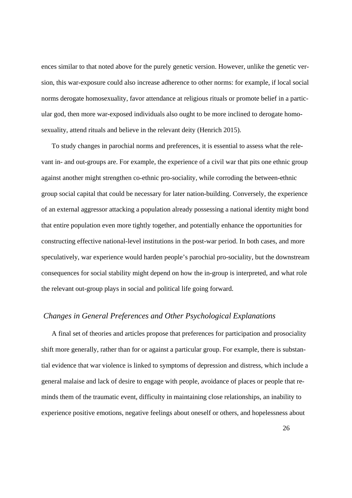ences similar to that noted above for the purely genetic version. However, unlike the genetic version, this war-exposure could also increase adherence to other norms: for example, if local social norms derogate homosexuality, favor attendance at religious rituals or promote belief in a particular god, then more war-exposed individuals also ought to be more inclined to derogate homosexuality, attend rituals and believe in the relevant deity (Henrich 2015).

To study changes in parochial norms and preferences, it is essential to assess what the relevant in- and out-groups are. For example, the experience of a civil war that pits one ethnic group against another might strengthen co-ethnic pro-sociality, while corroding the between-ethnic group social capital that could be necessary for later nation-building. Conversely, the experience of an external aggressor attacking a population already possessing a national identity might bond that entire population even more tightly together, and potentially enhance the opportunities for constructing effective national-level institutions in the post-war period. In both cases, and more speculatively, war experience would harden people's parochial pro-sociality, but the downstream consequences for social stability might depend on how the in-group is interpreted, and what role the relevant out-group plays in social and political life going forward.

#### *Changes in General Preferences and Other Psychological Explanations*

A final set of theories and articles propose that preferences for participation and prosociality shift more generally, rather than for or against a particular group. For example, there is substantial evidence that war violence is linked to symptoms of depression and distress, which include a general malaise and lack of desire to engage with people, avoidance of places or people that reminds them of the traumatic event, difficulty in maintaining close relationships, an inability to experience positive emotions, negative feelings about oneself or others, and hopelessness about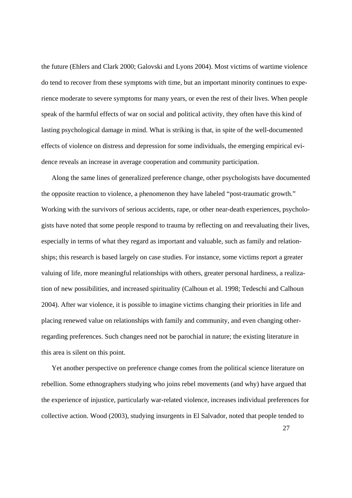the future (Ehlers and Clark 2000; Galovski and Lyons 2004). Most victims of wartime violence do tend to recover from these symptoms with time, but an important minority continues to experience moderate to severe symptoms for many years, or even the rest of their lives. When people speak of the harmful effects of war on social and political activity, they often have this kind of lasting psychological damage in mind. What is striking is that, in spite of the well-documented effects of violence on distress and depression for some individuals, the emerging empirical evidence reveals an increase in average cooperation and community participation.

Along the same lines of generalized preference change, other psychologists have documented the opposite reaction to violence, a phenomenon they have labeled "post-traumatic growth." Working with the survivors of serious accidents, rape, or other near-death experiences, psychologists have noted that some people respond to trauma by reflecting on and reevaluating their lives, especially in terms of what they regard as important and valuable, such as family and relationships; this research is based largely on case studies. For instance, some victims report a greater valuing of life, more meaningful relationships with others, greater personal hardiness, a realization of new possibilities, and increased spirituality (Calhoun et al. 1998; Tedeschi and Calhoun 2004). After war violence, it is possible to imagine victims changing their priorities in life and placing renewed value on relationships with family and community, and even changing otherregarding preferences. Such changes need not be parochial in nature; the existing literature in this area is silent on this point.

Yet another perspective on preference change comes from the political science literature on rebellion. Some ethnographers studying who joins rebel movements (and why) have argued that the experience of injustice, particularly war-related violence, increases individual preferences for collective action. Wood (2003), studying insurgents in El Salvador, noted that people tended to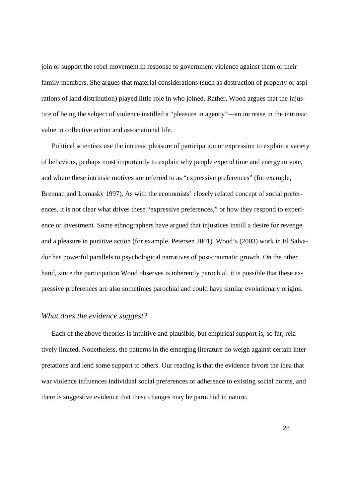join or support the rebel movement in response to government violence against them or their family members. She argues that material considerations (such as destruction of property or aspirations of land distribution) played little role in who joined. Rather, Wood argues that the injustice of being the subject of violence instilled a "pleasure in agency"—an increase in the intrinsic value in collective action and associational life.

Political scientists use the intrinsic pleasure of participation or expression to explain a variety of behaviors, perhaps most importantly to explain why people expend time and energy to vote, and where these intrinsic motives are referred to as "expressive preferences" (for example, Brennan and Lomasky 1997). As with the economists' closely related concept of social preferences, it is not clear what drives these "expressive preferences," or how they respond to experience or investment. Some ethnographers have argued that injustices instill a desire for revenge and a pleasure in punitive action (for example, Petersen 2001). Wood's (2003) work in El Salvador has powerful parallels to psychological narratives of post-traumatic growth. On the other hand, since the participation Wood observes is inherently parochial, it is possible that these expressive preferences are also sometimes parochial and could have similar evolutionary origins.

#### *What does the evidence suggest?*

Each of the above theories is intuitive and plausible, but empirical support is, so far, relatively limited. Nonetheless, the patterns in the emerging literature do weigh against certain interpretations and lend some support to others. Our reading is that the evidence favors the idea that war violence influences individual social preferences or adherence to existing social norms, and there is suggestive evidence that these changes may be parochial in nature.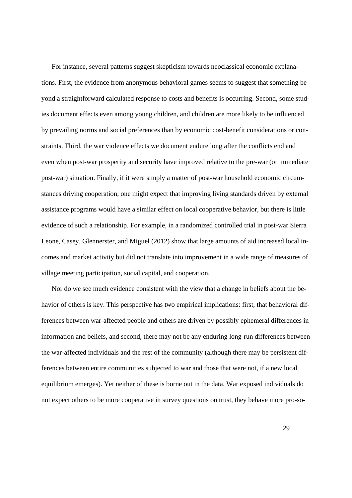For instance, several patterns suggest skepticism towards neoclassical economic explanations. First, the evidence from anonymous behavioral games seems to suggest that something beyond a straightforward calculated response to costs and benefits is occurring. Second, some studies document effects even among young children, and children are more likely to be influenced by prevailing norms and social preferences than by economic cost-benefit considerations or constraints. Third, the war violence effects we document endure long after the conflicts end and even when post-war prosperity and security have improved relative to the pre-war (or immediate post-war) situation. Finally, if it were simply a matter of post-war household economic circumstances driving cooperation, one might expect that improving living standards driven by external assistance programs would have a similar effect on local cooperative behavior, but there is little evidence of such a relationship. For example, in a randomized controlled trial in post-war Sierra Leone, Casey, Glennerster, and Miguel (2012) show that large amounts of aid increased local incomes and market activity but did not translate into improvement in a wide range of measures of village meeting participation, social capital, and cooperation.

Nor do we see much evidence consistent with the view that a change in beliefs about the behavior of others is key. This perspective has two empirical implications: first, that behavioral differences between war-affected people and others are driven by possibly ephemeral differences in information and beliefs, and second, there may not be any enduring long-run differences between the war-affected individuals and the rest of the community (although there may be persistent differences between entire communities subjected to war and those that were not, if a new local equilibrium emerges). Yet neither of these is borne out in the data. War exposed individuals do not expect others to be more cooperative in survey questions on trust, they behave more pro-so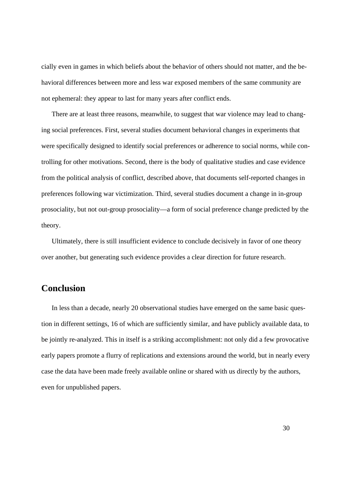cially even in games in which beliefs about the behavior of others should not matter, and the behavioral differences between more and less war exposed members of the same community are not ephemeral: they appear to last for many years after conflict ends.

There are at least three reasons, meanwhile, to suggest that war violence may lead to changing social preferences. First, several studies document behavioral changes in experiments that were specifically designed to identify social preferences or adherence to social norms, while controlling for other motivations. Second, there is the body of qualitative studies and case evidence from the political analysis of conflict, described above, that documents self-reported changes in preferences following war victimization. Third, several studies document a change in in-group prosociality, but not out-group prosociality—a form of social preference change predicted by the theory.

Ultimately, there is still insufficient evidence to conclude decisively in favor of one theory over another, but generating such evidence provides a clear direction for future research.

## **Conclusion**

In less than a decade, nearly 20 observational studies have emerged on the same basic question in different settings, 16 of which are sufficiently similar, and have publicly available data, to be jointly re-analyzed. This in itself is a striking accomplishment: not only did a few provocative early papers promote a flurry of replications and extensions around the world, but in nearly every case the data have been made freely available online or shared with us directly by the authors, even for unpublished papers.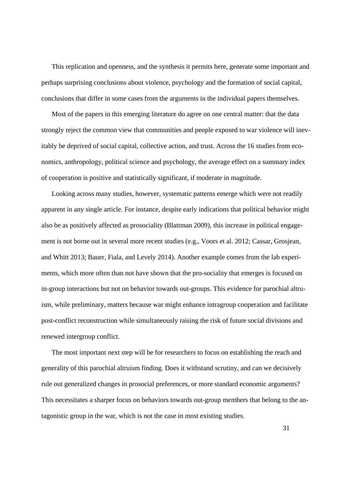This replication and openness, and the synthesis it permits here, generate some important and perhaps surprising conclusions about violence, psychology and the formation of social capital, conclusions that differ in some cases from the arguments in the individual papers themselves.

Most of the papers in this emerging literature do agree on one central matter: that the data strongly reject the common view that communities and people exposed to war violence will inevitably be deprived of social capital, collective action, and trust. Across the 16 studies from economics, anthropology, political science and psychology, the average effect on a summary index of cooperation is positive and statistically significant, if moderate in magnitude.

Looking across many studies, however, systematic patterns emerge which were not readily apparent in any single article. For instance, despite early indications that political behavior might also be as positively affected as prosociality (Blattman 2009), this increase in political engagement is not borne out in several more recent studies (e.g., Voors et al. 2012; Cassar, Grosjean, and Whitt 2013; Bauer, Fiala, and Levely 2014). Another example comes from the lab experiments, which more often than not have shown that the pro-sociality that emerges is focused on in-group interactions but not on behavior towards out-groups. This evidence for parochial altruism, while preliminary, matters because war might enhance intragroup cooperation and facilitate post-conflict reconstruction while simultaneously raising the risk of future social divisions and renewed intergroup conflict.

The most important next step will be for researchers to focus on establishing the reach and generality of this parochial altruism finding. Does it withstand scrutiny, and can we decisively rule out generalized changes in prosocial preferences, or more standard economic arguments? This necessitates a sharper focus on behaviors towards out-group members that belong to the antagonistic group in the war, which is not the case in most existing studies.

31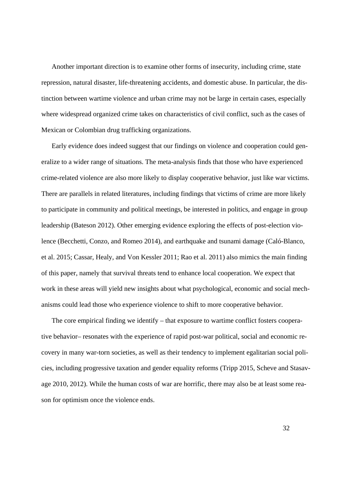Another important direction is to examine other forms of insecurity, including crime, state repression, natural disaster, life-threatening accidents, and domestic abuse. In particular, the distinction between wartime violence and urban crime may not be large in certain cases, especially where widespread organized crime takes on characteristics of civil conflict, such as the cases of Mexican or Colombian drug trafficking organizations.

Early evidence does indeed suggest that our findings on violence and cooperation could generalize to a wider range of situations. The meta-analysis finds that those who have experienced crime-related violence are also more likely to display cooperative behavior, just like war victims. There are parallels in related literatures, including findings that victims of crime are more likely to participate in community and political meetings, be interested in politics, and engage in group leadership (Bateson 2012). Other emerging evidence exploring the effects of post-election violence (Becchetti, Conzo, and Romeo 2014), and earthquake and tsunami damage (Caló-Blanco, et al. 2015; Cassar, Healy, and Von Kessler 2011; Rao et al. 2011) also mimics the main finding of this paper, namely that survival threats tend to enhance local cooperation. We expect that work in these areas will yield new insights about what psychological, economic and social mechanisms could lead those who experience violence to shift to more cooperative behavior.

The core empirical finding we identify – that exposure to wartime conflict fosters cooperative behavior– resonates with the experience of rapid post-war political, social and economic recovery in many war-torn societies, as well as their tendency to implement egalitarian social policies, including progressive taxation and gender equality reforms (Tripp 2015, Scheve and Stasavage 2010, 2012). While the human costs of war are horrific, there may also be at least some reason for optimism once the violence ends.

32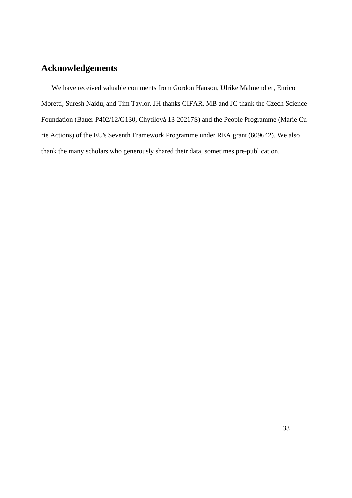## **Acknowledgements**

We have received valuable comments from Gordon Hanson, Ulrike Malmendier, Enrico Moretti, Suresh Naidu, and Tim Taylor. JH thanks CIFAR. MB and JC thank the Czech Science Foundation (Bauer P402/12/G130, Chytilová 13-20217S) and the People Programme (Marie Curie Actions) of the EU's Seventh Framework Programme under REA grant (609642). We also thank the many scholars who generously shared their data, sometimes pre-publication.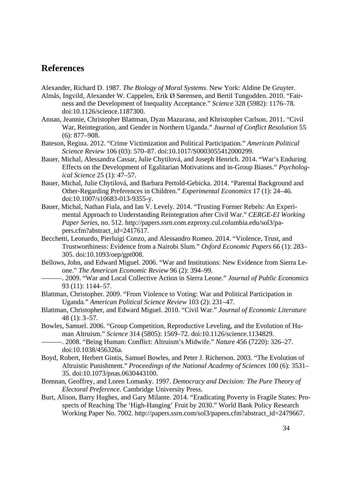## **References**

Alexander, Richard D. 1987. *The Biology of Moral Systems*. New York: Aldine De Gruyter.

- Almås, Ingvild, Alexander W. Cappelen, Erik Ø Sørensen, and Bertil Tungodden. 2010. "Fairness and the Development of Inequality Acceptance." *Science* 328 (5982): 1176–78. doi:10.1126/science.1187300.
- Annan, Jeannie, Christopher Blattman, Dyan Mazurana, and Khristopher Carlson. 2011. "Civil War, Reintegration, and Gender in Northern Uganda." *Journal of Conflict Resolution* 55 (6): 877–908.
- Bateson, Regina. 2012. "Crime Victimization and Political Participation." *American Political Science Review* 106 (03): 570–87. doi:10.1017/S0003055412000299.
- Bauer, Michal, Alessandra Cassar, Julie Chytilová, and Joseph Henrich. 2014. "War's Enduring Effects on the Development of Egalitarian Motivations and in-Group Biases." *Psychological Science* 25 (1): 47–57.
- Bauer, Michal, Julie Chytilová, and Barbara Pertold-Gebicka. 2014. "Parental Background and Other-Regarding Preferences in Children." *Experimental Economics* 17 (1): 24–46. doi:10.1007/s10683-013-9355-y.
- Bauer, Michal, Nathan Fiala, and Ian V. Levely. 2014. "Trusting Former Rebels: An Experimental Approach to Understanding Reintegration after Civil War." *CERGE-EI Working Paper Series*, no. 512. http://papers.ssrn.com.ezproxy.cul.columbia.edu/sol3/papers.cfm?abstract\_id=2417617.
- Becchetti, Leonardo, Pierluigi Conzo, and Alessandro Romeo. 2014. "Violence, Trust, and Trustworthiness: Evidence from a Nairobi Slum." *Oxford Economic Papers* 66 (1): 283– 305. doi:10.1093/oep/gpt008.
- Bellows, John, and Edward Miguel. 2006. "War and Institutions: New Evidence from Sierra Leone." *The American Economic Review* 96 (2): 394–99.

———. 2009. "War and Local Collective Action in Sierra Leone." *Journal of Public Economics* 93 (11): 1144–57.

- Blattman, Christopher. 2009. "From Violence to Voting: War and Political Participation in Uganda." *American Political Science Review* 103 (2): 231–47.
- Blattman, Christopher, and Edward Miguel. 2010. "Civil War." *Journal of Economic Literature* 48 (1): 3–57.
- Bowles, Samuel. 2006. "Group Competition, Reproductive Leveling, and the Evolution of Human Altruism." *Science* 314 (5805): 1569–72. doi:10.1126/science.1134829.

———. 2008. "Being Human: Conflict: Altruism's Midwife." *Nature* 456 (7220): 326–27. doi:10.1038/456326a.

- Boyd, Robert, Herbert Gintis, Samuel Bowles, and Peter J. Richerson. 2003. "The Evolution of Altruistic Punishment." *Proceedings of the National Academy of Sciences* 100 (6): 3531– 35. doi:10.1073/pnas.0630443100.
- Brennan, Geoffrey, and Loren Lomasky. 1997. *Democracy and Decision: The Pure Theory of Electoral Preference*. Cambridge University Press.
- Burt, Alison, Barry Hughes, and Gary Milante. 2014. "Eradicating Poverty in Fragile States: Prospects of Reaching The 'High-Hanging' Fruit by 2030." World Bank Policy Research Working Paper No. 7002. http://papers.ssrn.com/sol3/papers.cfm?abstract\_id=2479667.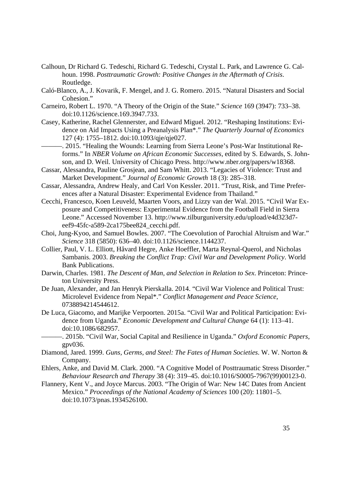- Calhoun, Dr Richard G. Tedeschi, Richard G. Tedeschi, Crystal L. Park, and Lawrence G. Calhoun. 1998. *Posttraumatic Growth: Positive Changes in the Aftermath of Crisis*. Routledge.
- Caló-Blanco, A., J. Kovarik, F. Mengel, and J. G. Romero. 2015. "Natural Disasters and Social Cohesion."
- Carneiro, Robert L. 1970. "A Theory of the Origin of the State." *Science* 169 (3947): 733–38. doi:10.1126/science.169.3947.733.
- Casey, Katherine, Rachel Glennerster, and Edward Miguel. 2012. "Reshaping Institutions: Evidence on Aid Impacts Using a Preanalysis Plan\*." *The Quarterly Journal of Economics* 127 (4): 1755–1812. doi:10.1093/qje/qje027.
- ———. 2015. "Healing the Wounds: Learning from Sierra Leone's Post-War Institutional Reforms." In *NBER Volume on African Economic Successes*, edited by S. Edwards, S. Johnson, and D. Weil. University of Chicago Press. http://www.nber.org/papers/w18368.
- Cassar, Alessandra, Pauline Grosjean, and Sam Whitt. 2013. "Legacies of Violence: Trust and Market Development." *Journal of Economic Growth* 18 (3): 285–318.
- Cassar, Alessandra, Andrew Healy, and Carl Von Kessler. 2011. "Trust, Risk, and Time Preferences after a Natural Disaster: Experimental Evidence from Thailand."
- Cecchi, Francesco, Koen Leuveld, Maarten Voors, and Lizzy van der Wal. 2015. "Civil War Exposure and Competitiveness: Experimental Evidence from the Football Field in Sierra Leone." Accessed November 13. http://www.tilburguniversity.edu/upload/e4d323d7 eef9-45fc-a589-2ca175bee824\_cecchi.pdf.
- Choi, Jung-Kyoo, and Samuel Bowles. 2007. "The Coevolution of Parochial Altruism and War." *Science* 318 (5850): 636–40. doi:10.1126/science.1144237.
- Collier, Paul, V. L. Elliott, Håvard Hegre, Anke Hoeffler, Marta Reynal-Querol, and Nicholas Sambanis. 2003. *Breaking the Conflict Trap: Civil War and Development Policy*. World Bank Publications.
- Darwin, Charles. 1981. *The Descent of Man, and Selection in Relation to Sex*. Princeton: Princeton University Press.
- De Juan, Alexander, and Jan Henryk Pierskalla. 2014. "Civil War Violence and Political Trust: Microlevel Evidence from Nepal\*." *Conflict Management and Peace Science*, 0738894214544612.
- De Luca, Giacomo, and Marijke Verpoorten. 2015a. "Civil War and Political Participation: Evidence from Uganda." *Economic Development and Cultural Change* 64 (1): 113–41. doi:10.1086/682957.
- ———. 2015b. "Civil War, Social Capital and Resilience in Uganda." *Oxford Economic Papers*, gpv036.
- Diamond, Jared. 1999. *Guns, Germs, and Steel: The Fates of Human Societies*. W. W. Norton & Company.
- Ehlers, Anke, and David M. Clark. 2000. "A Cognitive Model of Posttraumatic Stress Disorder." *Behaviour Research and Therapy* 38 (4): 319–45. doi:10.1016/S0005-7967(99)00123-0.
- Flannery, Kent V., and Joyce Marcus. 2003. "The Origin of War: New 14C Dates from Ancient Mexico." *Proceedings of the National Academy of Sciences* 100 (20): 11801–5. doi:10.1073/pnas.1934526100.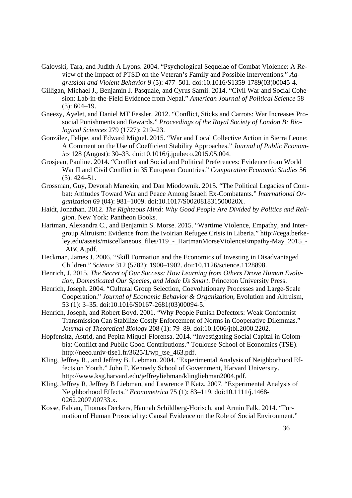- Galovski, Tara, and Judith A Lyons. 2004. "Psychological Sequelae of Combat Violence: A Review of the Impact of PTSD on the Veteran's Family and Possible Interventions." *Aggression and Violent Behavior* 9 (5): 477–501. doi:10.1016/S1359-1789(03)00045-4.
- Gilligan, Michael J., Benjamin J. Pasquale, and Cyrus Samii. 2014. "Civil War and Social Cohesion: Lab-in-the-Field Evidence from Nepal." *American Journal of Political Science* 58 (3): 604–19.
- Gneezy, Ayelet, and Daniel MT Fessler. 2012. "Conflict, Sticks and Carrots: War Increases Prosocial Punishments and Rewards." *Proceedings of the Royal Society of London B: Biological Sciences* 279 (1727): 219–23.
- González, Felipe, and Edward Miguel. 2015. "War and Local Collective Action in Sierra Leone: A Comment on the Use of Coefficient Stability Approaches." *Journal of Public Economics* 128 (August): 30–33. doi:10.1016/j.jpubeco.2015.05.004.
- Grosjean, Pauline. 2014. "Conflict and Social and Political Preferences: Evidence from World War II and Civil Conflict in 35 European Countries." *Comparative Economic Studies* 56 (3): 424–51.
- Grossman, Guy, Devorah Manekin, and Dan Miodownik. 2015. "The Political Legacies of Combat: Attitudes Toward War and Peace Among Israeli Ex-Combatants." *International Organization* 69 (04): 981–1009. doi:10.1017/S002081831500020X.
- Haidt, Jonathan. 2012. *The Righteous Mind: Why Good People Are Divided by Politics and Religion*. New York: Pantheon Books.
- Hartman, Alexandra C., and Benjamin S. Morse. 2015. "Wartime Violence, Empathy, and Intergroup Altruism: Evidence from the Ivoirian Refugee Crisis in Liberia." http://cega.berkeley.edu/assets/miscellaneous\_files/119\_-\_HartmanMorseViolenceEmpathy-May\_2015\_- \_ABCA.pdf.
- Heckman, James J. 2006. "Skill Formation and the Economics of Investing in Disadvantaged Children." *Science* 312 (5782): 1900–1902. doi:10.1126/science.1128898.
- Henrich, J. 2015. *The Secret of Our Success: How Learning from Others Drove Human Evolution, Domesticated Our Species, and Made Us Smart*. Princeton University Press.
- Henrich, Joseph. 2004. "Cultural Group Selection, Coevolutionary Processes and Large-Scale Cooperation." *Journal of Economic Behavior & Organization*, Evolution and Altruism, 53 (1): 3–35. doi:10.1016/S0167-2681(03)00094-5.
- Henrich, Joseph, and Robert Boyd. 2001. "Why People Punish Defectors: Weak Conformist Transmission Can Stabilize Costly Enforcement of Norms in Cooperative Dilemmas." *Journal of Theoretical Biology* 208 (1): 79–89. doi:10.1006/jtbi.2000.2202.
- Hopfensitz, Astrid, and Pepita Miquel-Florensa. 2014. "Investigating Social Capital in Colombia: Conflict and Public Good Contributions." Toulouse School of Economics (TSE). http://neeo.univ-tlse1.fr/3625/1/wp\_tse\_463.pdf.
- Kling, Jeffrey R., and Jeffrey B. Liebman. 2004. "Experimental Analysis of Neighborhood Effects on Youth." John F. Kennedy School of Government, Harvard University. http://www.ksg.harvard.edu/jeffreyliebman/klingliebman2004.pdf.
- Kling, Jeffrey R, Jeffrey B Liebman, and Lawrence F Katz. 2007. "Experimental Analysis of Neighborhood Effects." *Econometrica* 75 (1): 83–119. doi:10.1111/j.1468- 0262.2007.00733.x.
- Kosse, Fabian, Thomas Deckers, Hannah Schildberg-Hörisch, and Armin Falk. 2014. "Formation of Human Prosociality: Causal Evidence on the Role of Social Environment."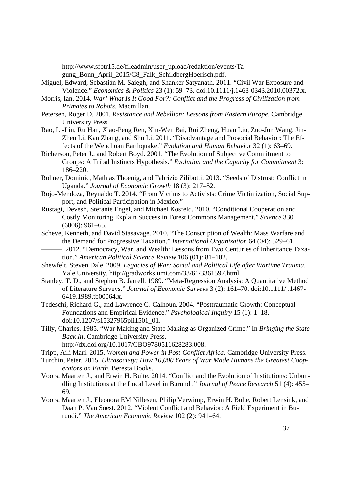http://www.sfbtr15.de/fileadmin/user\_upload/redaktion/events/Tagung\_Bonn\_April\_2015/C8\_Falk\_SchildbergHoerisch.pdf.

- Miguel, Edward, Sebastián M. Saiegh, and Shanker Satyanath. 2011. "Civil War Exposure and Violence." *Economics & Politics* 23 (1): 59–73. doi:10.1111/j.1468-0343.2010.00372.x.
- Morris, Ian. 2014. *War! What Is It Good For?: Conflict and the Progress of Civilization from Primates to Robots*. Macmillan.
- Petersen, Roger D. 2001. *Resistance and Rebellion: Lessons from Eastern Europe*. Cambridge University Press.
- Rao, Li-Lin, Ru Han, Xiao-Peng Ren, Xin-Wen Bai, Rui Zheng, Huan Liu, Zuo-Jun Wang, Jin-Zhen Li, Kan Zhang, and Shu Li. 2011. "Disadvantage and Prosocial Behavior: The Effects of the Wenchuan Earthquake." *Evolution and Human Behavior* 32 (1): 63–69.
- Richerson, Peter J., and Robert Boyd. 2001. "The Evolution of Subjective Commitment to Groups: A Tribal Instincts Hypothesis." *Evolution and the Capacity for Commitment* 3: 186–220.
- Rohner, Dominic, Mathias Thoenig, and Fabrizio Zilibotti. 2013. "Seeds of Distrust: Conflict in Uganda." *Journal of Economic Growth* 18 (3): 217–52.
- Rojo-Mendoza, Reynaldo T. 2014. "From Victims to Activists: Crime Victimization, Social Support, and Political Participation in Mexico."
- Rustagi, Devesh, Stefanie Engel, and Michael Kosfeld. 2010. "Conditional Cooperation and Costly Monitoring Explain Success in Forest Commons Management." *Science* 330 (6006): 961–65.
- Scheve, Kenneth, and David Stasavage. 2010. "The Conscription of Wealth: Mass Warfare and the Demand for Progressive Taxation." *International Organization* 64 (04): 529–61.
	- -. 2012. "Democracy, War, and Wealth: Lessons from Two Centuries of Inheritance Taxation." *American Political Science Review* 106 (01): 81–102.
- Shewfelt, Steven Dale. 2009. *Legacies of War: Social and Political Life after Wartime Trauma*. Yale University. http://gradworks.umi.com/33/61/3361597.html.
- Stanley, T. D., and Stephen B. Jarrell. 1989. "Meta-Regression Analysis: A Quantitative Method of Literature Surveys." *Journal of Economic Surveys* 3 (2): 161–70. doi:10.1111/j.1467- 6419.1989.tb00064.x.
- Tedeschi, Richard G., and Lawrence G. Calhoun. 2004. "Posttraumatic Growth: Conceptual Foundations and Empirical Evidence." *Psychological Inquiry* 15 (1): 1–18. doi:10.1207/s15327965pli1501\_01.
- Tilly, Charles. 1985. "War Making and State Making as Organized Crime." In *Bringing the State Back In*. Cambridge University Press. http://dx.doi.org/10.1017/CBO9780511628283.008.
- Tripp, Aili Mari. 2015. *Women and Power in Post-Conflict Africa*. Cambridge University Press.
- Turchin, Peter. 2015. *Ultrasociety: How 10,000 Years of War Made Humans the Greatest Cooperators on Earth*. Beresta Books.
- Voors, Maarten J., and Erwin H. Bulte. 2014. "Conflict and the Evolution of Institutions: Unbundling Institutions at the Local Level in Burundi." *Journal of Peace Research* 51 (4): 455– 69.
- Voors, Maarten J., Eleonora EM Nillesen, Philip Verwimp, Erwin H. Bulte, Robert Lensink, and Daan P. Van Soest. 2012. "Violent Conflict and Behavior: A Field Experiment in Burundi." *The American Economic Review* 102 (2): 941–64.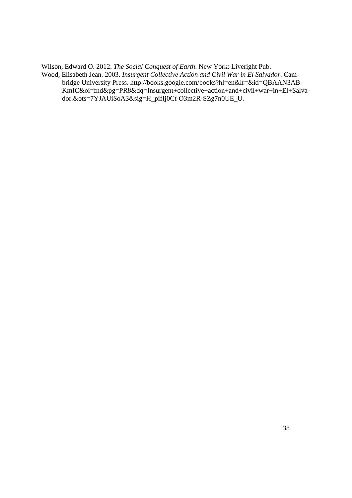Wilson, Edward O. 2012. *The Social Conquest of Earth*. New York: Liveright Pub.

Wood, Elisabeth Jean. 2003. *Insurgent Collective Action and Civil War in El Salvador*. Cambridge University Press. http://books.google.com/books?hl=en&lr=&id=QBAAN3AB-KmIC&oi=fnd&pg=PR8&dq=Insurgent+collective+action+and+civil+war+in+El+Salvador.&ots=7YJAUiSoA3&sig=H\_pifIj0Ct-O3m2R-SZg7n0UE\_U.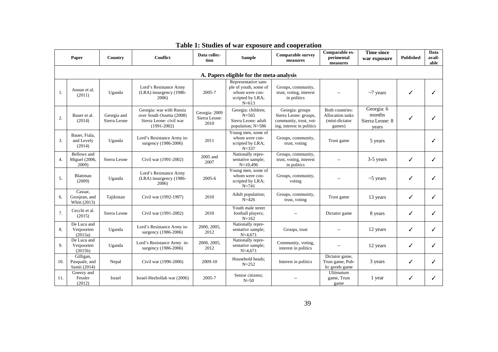| Paper |                                              | Country                     | <b>Conflict</b>                                                                                     | Data collec-<br>tion                   | <b>Sample</b>                                                                                   | <b>Comparable survey</b><br>measures                                                            | Comparable ex-<br>perimental<br>measures                               | <b>Time since</b><br>war exposure                | <b>Published</b> | Data<br>avail-<br>able |  |
|-------|----------------------------------------------|-----------------------------|-----------------------------------------------------------------------------------------------------|----------------------------------------|-------------------------------------------------------------------------------------------------|-------------------------------------------------------------------------------------------------|------------------------------------------------------------------------|--------------------------------------------------|------------------|------------------------|--|
|       | A. Papers eligible for the meta-analysis     |                             |                                                                                                     |                                        |                                                                                                 |                                                                                                 |                                                                        |                                                  |                  |                        |  |
| 1.    | Annan et al.<br>(2011)                       | Uganda                      | Lord's Resistance Army<br>(LRA) insurgency (1986-<br>2006)                                          | 2005-7                                 | Representative sam-<br>ple of youth, some of<br>whom were con-<br>scripted by LRA;<br>$N = 613$ | Groups, community,<br>trust, voting, interest<br>in politics                                    | $\overline{\phantom{a}}$                                               | $\sim$ 7 years                                   | ✓                |                        |  |
| 2.    | Bauer et al.<br>(2014)                       | Georgia and<br>Sierra Leone | Georgia: war with Russia<br>over South Ossetia (2008)<br>Sierra Leone: civil war<br>$(1991 - 2002)$ | Georgia: 2009<br>Sierra Leone:<br>2010 | Georgia: children;<br>$N = 565$<br>Sierra Leone: adult<br>population; N=586                     | Georgia: groups<br>Sierra Leone: groups,<br>community, trust, vot-<br>ing, interest in politics | Both countries:<br><b>Allocation</b> tasks<br>(mini-dictator<br>games) | Georgia: 6<br>months<br>Sierra Leone: 8<br>vears | ✓                |                        |  |
| 3.    | Bauer, Fiala,<br>and Levely<br>(2014)        | Uganda                      | Lord's Resistance Army in-<br>surgency (1986-2006)                                                  | 2011                                   | Young men, some of<br>whom were con-<br>scripted by LRA;<br>$N = 337$                           | Groups, community,<br>trust, voting                                                             | Trust game                                                             | 5 years                                          |                  |                        |  |
| 4.    | Bellows and<br><b>Miguel</b> (2006,<br>2009) | Sierra Leone                | Civil war (1991-2002)                                                                               | 2005 and<br>2007                       | Nationally repre-<br>sentative sample;<br>$N=10,496$                                            | Groups, community,<br>trust, voting, interest<br>in politics                                    |                                                                        | 3-5 years                                        | ✓                | ✓                      |  |
| 5.    | Blattman<br>(2009)                           | Uganda                      | Lord's Resistance Army<br>(LRA) insurgency (1986-<br>2006)                                          | 2005-6                                 | Young men, some of<br>whom were con-<br>scripted by LRA;<br>$N = 741$                           | Groups, community,<br>voting                                                                    |                                                                        | $~5$ years                                       | ✓                |                        |  |
| 6.    | Cassar,<br>Grosjean, and<br>Whitt (2013)     | Tajikistan                  | Civil war (1992-1997)                                                                               | 2010                                   | Adult population;<br>$N = 426$                                                                  | Groups, community,<br>trust, voting                                                             | Trust game                                                             | 13 years                                         | ✓                | ✓                      |  |
| 7.    | Cecchi et al.<br>(2015)                      | Sierra Leone                | Civil war (1991-2002)                                                                               | 2010                                   | Youth male street<br>football players;<br>$N = 162$                                             |                                                                                                 | Dictator game                                                          | 8 years                                          | ✓                |                        |  |
| 8.    | De Luca and<br>Verpoorten<br>(2015a)         | Uganda                      | Lord's Resistance Army in-<br>surgency (1986-2006)                                                  | 2000, 2005,<br>2012                    | Nationally repre-<br>sentative sample;<br>$N=4,671$                                             | Groups, trust                                                                                   |                                                                        | 12 years                                         | ✓                |                        |  |
| 9.    | De Luca and<br>Verpoorten<br>(2015b)         | Uganda                      | Lord's Resistance Army in-<br>surgency (1986-2006)                                                  | 2000, 2005,<br>2012                    | Nationally repre-<br>sentative sample;<br>$N=4,671$                                             | Community, voting,<br>interest in politics                                                      | $\overline{\phantom{a}}$                                               | 12 years                                         | ✓                |                        |  |
| 10.   | Gilligan,<br>Pasquale, and<br>Samii (2014)   | Nepal                       | Civil war (1996-2006)                                                                               | 2009-10                                | Household heads;<br>$N = 252$                                                                   | Interest in politics                                                                            | Dictator game,<br>Trust game, Pub-<br>lic goods game                   | 3 years                                          | ✓                | ✓                      |  |
| 11.   | Gneezy and<br>Fessler<br>(2012)              | Israel                      | Israel-Hezbollah war (2006)                                                                         | 2005-7                                 | Senior citizens;<br>$N=50$                                                                      |                                                                                                 | Ultimatum<br>game, Trust<br>game                                       | 1 year                                           | ✓                |                        |  |

#### **Table 1: Studies of war exposure and cooperation**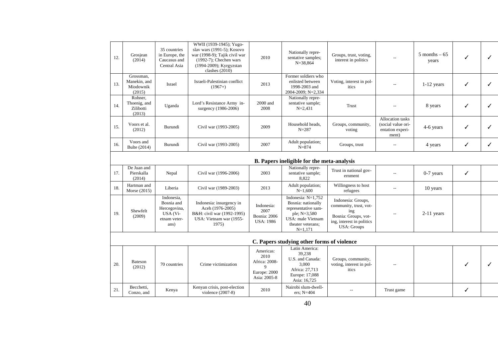| 12. | Grosjean<br>(2014)                               | 35 countries<br>in Europe, the<br>Caucasus and<br>Central Asia               | WWII (1939-1945); Yugo-<br>slav wars (1991-5); Kosovo<br>war (1998-9); Tajik civil war<br>$(1992-7)$ ; Chechen wars<br>(1994-2009); Kyrgyzstan<br>clashes $(2010)$ | 2010                                                                              | Nationally repre-<br>sentative samples;<br>$N = 38,864$                                                                                | Groups, trust, voting,<br>interest in politics                                                                                 |                                                                            | $5$ months $-65$<br>years | ✓ | $\checkmark$ |
|-----|--------------------------------------------------|------------------------------------------------------------------------------|--------------------------------------------------------------------------------------------------------------------------------------------------------------------|-----------------------------------------------------------------------------------|----------------------------------------------------------------------------------------------------------------------------------------|--------------------------------------------------------------------------------------------------------------------------------|----------------------------------------------------------------------------|---------------------------|---|--------------|
| 13. | Grossman.<br>Manekin, and<br>Miodownik<br>(2015) | Israel                                                                       | Israeli-Palestinian conflict<br>$(1967+)$                                                                                                                          | 2013                                                                              | Former soldiers who<br>enlisted between<br>1998-2003 and<br>2004-2009; N=2,334                                                         | Voting, interest in pol-<br>itics                                                                                              |                                                                            | $1-12$ years              | ✓ | $\checkmark$ |
| 14. | Rohner,<br>Thoenig, and<br>Zilibotti<br>(2013)   | Uganda                                                                       | Lord's Resistance Army in-<br>surgency (1986-2006)                                                                                                                 | 2000 and<br>2008                                                                  | Nationally repre-<br>sentative sample;<br>$N = 2,431$                                                                                  | Trust                                                                                                                          |                                                                            | 8 years                   | ✓ | ✓            |
| 15. | Voors et al.<br>(2012)                           | Burundi                                                                      | Civil war (1993-2005)                                                                                                                                              | 2009                                                                              | Household heads,<br>$N = 287$                                                                                                          | Groups, community,<br>voting                                                                                                   | <b>Allocation</b> tasks<br>(social value ori-<br>entation experi-<br>ment) | 4-6 years                 | ✓ | $\checkmark$ |
| 16. | Voors and<br>Bulte (2014)                        | Burundi                                                                      | Civil war (1993-2005)                                                                                                                                              | 2007                                                                              | Adult population;<br>$N = 874$                                                                                                         | Groups, trust                                                                                                                  | $\overline{\phantom{a}}$                                                   | 4 years                   | ✓ | $\checkmark$ |
|     |                                                  |                                                                              |                                                                                                                                                                    |                                                                                   | B. Papers ineligible for the meta-analysis                                                                                             |                                                                                                                                |                                                                            |                           |   |              |
| 17. | De Juan and<br>Pierskalla<br>(2014)              | Nepal                                                                        | Civil war (1996-2006)                                                                                                                                              | 2003                                                                              | Nationally repre-<br>sentative sample;<br>8,822                                                                                        | Trust in national gov-<br>ernment                                                                                              |                                                                            | $0-7$ years               | ✓ |              |
| 18. | Hartman and<br>Morse (2015)                      | Liberia                                                                      | Civil war (1989-2003)                                                                                                                                              | 2013                                                                              | Adult population;<br>$N \sim 1,600$                                                                                                    | Willingness to host<br>refugees                                                                                                | --                                                                         | 10 years                  |   |              |
| 19. | Shewfelt<br>(2009)                               | Indonesia,<br>Bosnia and<br>Hercegovina,<br>USA (Vi-<br>etnam veter-<br>ans) | Indonesia: insurgency in<br>Aceh (1976-2005)<br>B&H: civil war (1992-1995)<br>USA: Vietnam war (1955-<br>1975)                                                     | Indonesia:<br>2007<br>Bosnia: 2006<br><b>USA: 1986</b>                            | Indonesia: N=1,752<br>Bosnia: nationally<br>representative sam-<br>ple; N=3,580<br>USA: male Vietnam<br>theater veterans;<br>$N=1,171$ | Indonesia: Groups,<br>community, trust, vot-<br>ing<br>Bosnia: Groups, vot-<br>ing, interest in politics<br><b>USA: Groups</b> |                                                                            | $2-11$ years              |   |              |
|     |                                                  |                                                                              |                                                                                                                                                                    |                                                                                   | C. Papers studying other forms of violence                                                                                             |                                                                                                                                |                                                                            |                           |   |              |
| 20. | <b>Bateson</b><br>(2012)                         | 70 countries                                                                 | Crime victimization                                                                                                                                                | Americas:<br>2010<br>Africa: 2008-<br>$\mathbf Q$<br>Europe: 2000<br>Asia: 2005-8 | Latin America:<br>39,238<br>U.S. and Canada:<br>3,000<br>Africa: 27,713<br>Europe: 17,088<br>Asia: 16,725                              | Groups, community,<br>voting, interest in pol-<br>itics                                                                        |                                                                            |                           |   | $\checkmark$ |
| 21. | Becchetti,<br>Conzo, and                         | Kenya                                                                        | Kenyan crisis, post-election<br>violence (2007-8)                                                                                                                  | 2010                                                                              | Nairobi slum-dwell-<br>ers: $N=404$                                                                                                    | $-$                                                                                                                            | Trust game                                                                 |                           | ✓ |              |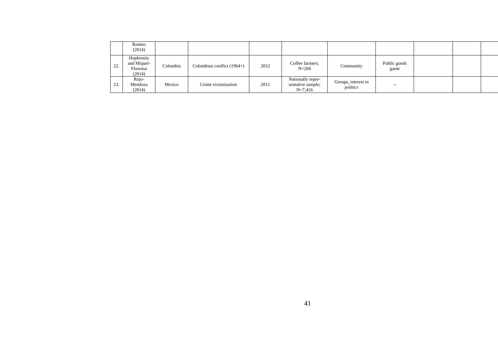|     | Romeo<br>(2014)                                 |          |                              |      |                                                     |                                 |                                       |  |  |
|-----|-------------------------------------------------|----------|------------------------------|------|-----------------------------------------------------|---------------------------------|---------------------------------------|--|--|
| 22. | Hopfensitz<br>and Miquel-<br>Florensa<br>(2014) | Colombia | Colombian conflict $(1964+)$ | 2012 | Coffee farmers;<br>$N = 260$                        | Community                       | Public goods<br>game                  |  |  |
| 23. | Rojo-<br>Mendoza<br>(2014)                      | Mexico   | Crime victimization          | 2011 | Nationally repre-<br>sentative sample;<br>$N=7,416$ | Groups, interest in<br>politics | $\hspace{0.05cm}$ – $\hspace{0.05cm}$ |  |  |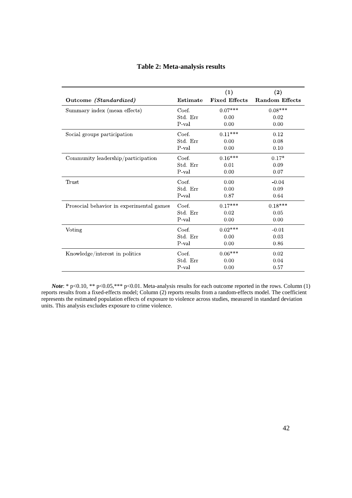| Outcome (Standardized)                   | Estimate | (1)<br><b>Fixed Effects</b> | (2)<br><b>Random Effects</b> |
|------------------------------------------|----------|-----------------------------|------------------------------|
| Summary index (mean effects)             | Coef.    | $0.07***$                   | $0.08***$                    |
|                                          | Std. Err | 0.00                        | 0.02                         |
|                                          | P val    | 0.00                        | 0.00                         |
| Social groups participation              | Coef.    | $0.11^{***}\,$              | 0.12                         |
|                                          | Std. Err | 0.00                        | 0.08                         |
|                                          | P val    | 0.00                        | 0.10                         |
| Community leadership/participation       | Coef.    | $0.16***$                   | $0.17*$                      |
|                                          | Std. Err | 0.01                        | 0.09                         |
|                                          | $P$ val  | 0.00                        | 0.07                         |
| Trust                                    | Coef.    | 0.00                        | $-0.04$                      |
|                                          | Std. Err | 0.00                        | 0.09                         |
|                                          | P val    | 0.87                        | 0.64                         |
| Prosocial behavior in experimental games | Coef.    | $0.17***$                   | $0.18***$                    |
|                                          | Std. Err | 0.02                        | 0.05                         |
|                                          | P val    | 0.00                        | $0.00\,$                     |
| Voting                                   | Coef.    | $0.02***$                   | $-0.01$                      |
|                                          | Std. Err | 0.00                        | 0.03                         |
|                                          | P val    | 0.00                        | 0.86                         |
| Knowledge/interest in politics           | Coef.    | $0.06***$                   | 0.02                         |
|                                          | Std. Err | 0.00                        | 0.04                         |
|                                          | P val    | 0.00                        | 0.57                         |

#### **Table 2: Meta-analysis results**

*Note*: \* p<0.10, \*\* p<0.05, \*\*\* p<0.01. Meta-analysis results for each outcome reported in the rows. Column (1) reports results from a fixed-effects model; Column (2) reports results from a random-effects model. The coefficient represents the estimated population effects of exposure to violence across studies, measured in standard deviation units. This analysis excludes exposure to crime violence.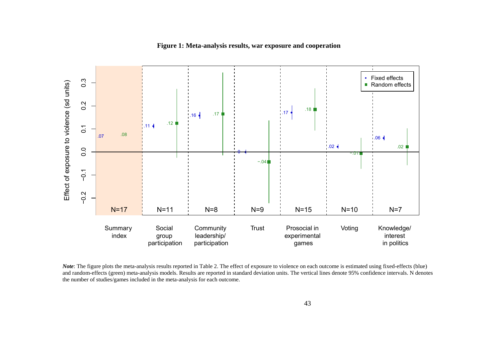

#### **Figure 1: Meta-analysis results, war exposure and cooperation**

*Note*: The figure plots the meta-analysis results reported in Table 2. The effect of exposure to violence on each outcome is estimated using fixed-effects (blue) and random-effects (green) meta-analysis models. Results are reported in standard deviation units. The vertical lines denote 95% confidence intervals. N denotes the number of studies/games included in the meta-analysis for each outcome.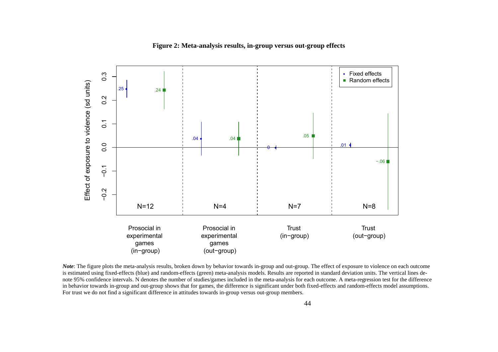



*Note*: The figure plots the meta-analysis results, broken down by behavior towards in-group and out-group. The effect of exposure to violence on each outcome is estimated using fixed-effects (blue) and random-effects (green) meta-analysis models. Results are reported in standard deviation units. The vertical lines denote 95% confidence intervals. N denotes the number of studies/games included in the meta-analysis for each outcome. A meta-regression test for the difference in behavior towards in-group and out-group shows that for games, the difference is significant under both fixed-effects and random-effects model assumptions. For trust we do not find a significant difference in attitudes towards in-group versus out-group members.